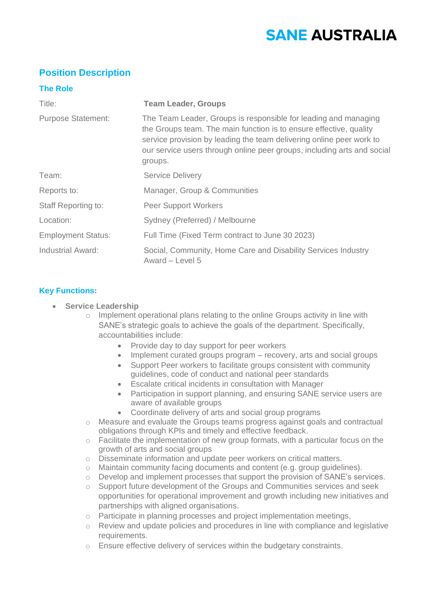# **SANE AUSTRALIA**

## **Position Description**

### **The Role**

| Title:                     | <b>Team Leader, Groups</b>                                                                                                                                                                                                                                                                          |
|----------------------------|-----------------------------------------------------------------------------------------------------------------------------------------------------------------------------------------------------------------------------------------------------------------------------------------------------|
| <b>Purpose Statement:</b>  | The Team Leader, Groups is responsible for leading and managing<br>the Groups team. The main function is to ensure effective, quality<br>service provision by leading the team delivering online peer work to<br>our service users through online peer groups, including arts and social<br>groups. |
| Team:                      | <b>Service Delivery</b>                                                                                                                                                                                                                                                                             |
| Reports to:                | Manager, Group & Communities                                                                                                                                                                                                                                                                        |
| <b>Staff Reporting to:</b> | <b>Peer Support Workers</b>                                                                                                                                                                                                                                                                         |
| Location:                  | Sydney (Preferred) / Melbourne                                                                                                                                                                                                                                                                      |
| <b>Employment Status:</b>  | Full Time (Fixed Term contract to June 30 2023)                                                                                                                                                                                                                                                     |
| Industrial Award:          | Social, Community, Home Care and Disability Services Industry<br>Award - Level 5                                                                                                                                                                                                                    |

## **Key Functions:**

- **Service Leadership**
	- $\circ$  Implement operational plans relating to the online Groups activity in line with SANE's strategic goals to achieve the goals of the department. Specifically, accountabilities include:
		- Provide day to day support for peer workers
		- Implement curated groups program recovery, arts and social groups
		- Support Peer workers to facilitate groups consistent with community guidelines, code of conduct and national peer standards
		- Escalate critical incidents in consultation with Manager
		- Participation in support planning, and ensuring SANE service users are aware of available groups
		- Coordinate delivery of arts and social group programs
	- o Measure and evaluate the Groups teams progress against goals and contractual obligations through KPIs and timely and effective feedback.
	- $\circ$  Facilitate the implementation of new group formats, with a particular focus on the growth of arts and social groups
	- o Disseminate information and update peer workers on critical matters.
	- $\circ$  Maintain community facing documents and content (e.g. group quidelines).
	- o Develop and implement processes that support the provision of SANE's services.
	- o Support future development of the Groups and Communities services and seek opportunities for operational improvement and growth including new initiatives and partnerships with aligned organisations.
	- o Participate in planning processes and project implementation meetings,
	- o Review and update policies and procedures in line with compliance and legislative requirements.
	- o Ensure effective delivery of services within the budgetary constraints.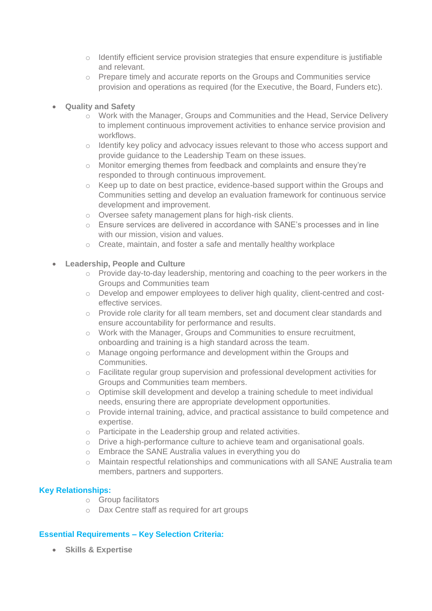- $\circ$  Identify efficient service provision strategies that ensure expenditure is justifiable and relevant.
- o Prepare timely and accurate reports on the Groups and Communities service provision and operations as required (for the Executive, the Board, Funders etc).
- **Quality and Safety** 
	- o Work with the Manager, Groups and Communities and the Head, Service Delivery to implement continuous improvement activities to enhance service provision and workflows.
	- o Identify key policy and advocacy issues relevant to those who access support and provide guidance to the Leadership Team on these issues.
	- o Monitor emerging themes from feedback and complaints and ensure they're responded to through continuous improvement.
	- o Keep up to date on best practice, evidence-based support within the Groups and Communities setting and develop an evaluation framework for continuous service development and improvement.
	- o Oversee safety management plans for high-risk clients.
	- o Ensure services are delivered in accordance with SANE's processes and in line with our mission, vision and values.
	- o Create, maintain, and foster a safe and mentally healthy workplace
- **Leadership, People and Culture**
	- o Provide day-to-day leadership, mentoring and coaching to the peer workers in the Groups and Communities team
	- o Develop and empower employees to deliver high quality, client-centred and costeffective services.
	- o Provide role clarity for all team members, set and document clear standards and ensure accountability for performance and results.
	- o Work with the Manager, Groups and Communities to ensure recruitment, onboarding and training is a high standard across the team.
	- o Manage ongoing performance and development within the Groups and Communities.
	- o Facilitate regular group supervision and professional development activities for Groups and Communities team members.
	- o Optimise skill development and develop a training schedule to meet individual needs, ensuring there are appropriate development opportunities.
	- o Provide internal training, advice, and practical assistance to build competence and expertise.
	- o Participate in the Leadership group and related activities.
	- $\circ$  Drive a high-performance culture to achieve team and organisational goals.
	- o Embrace the SANE Australia values in everything you do
	- o Maintain respectful relationships and communications with all SANE Australia team members, partners and supporters.

## **Key Relationships:**

- o Group facilitators
- o Dax Centre staff as required for art groups

## **Essential Requirements – Key Selection Criteria:**

• **Skills & Expertise**